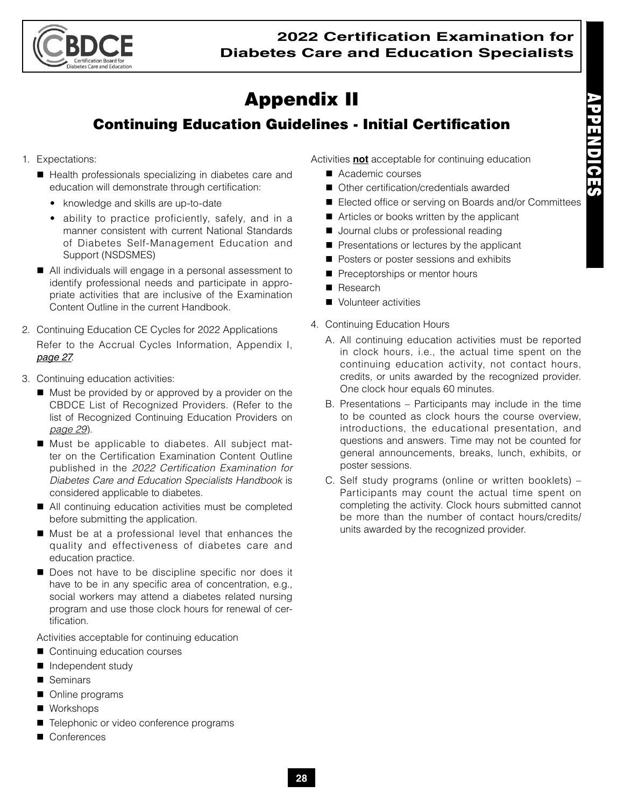

## Appendix II

## Continuing Education Guidelines - Initial Certification

- 1. Expectations:
	- Health professionals specializing in diabetes care and education will demonstrate through certification:
		- knowledge and skills are up-to-date
		- ability to practice proficiently, safely, and in a manner consistent with current National Standards of Diabetes Self-Management Education and Support (NSDSMES)
	- All individuals will engage in a personal assessment to identify professional needs and participate in appropriate activities that are inclusive of the Examination Content Outline in the current Handbook.
- 2. Continuing Education CE Cycles for 2022 Applications Refer to the Accrual Cycles Information, Appendix I, *page 27*.
- 3. Continuing education activities:
	- Must be provided by or approved by a provider on the CBDCE List of Recognized Providers. (Refer to the list of Recognized Continuing Education Providers on *page 29*).
	- Must be applicable to diabetes. All subject matter on the Certification Examination Content Outline published in the *2022 Certification Examination for Diabetes Care and Education Specialists Handbook* is considered applicable to diabetes.
	- All continuing education activities must be completed before submitting the application.
	- Must be at a professional level that enhances the quality and effectiveness of diabetes care and education practice.
	- Does not have to be discipline specific nor does it have to be in any specific area of concentration, e.g., social workers may attend a diabetes related nursing program and use those clock hours for renewal of certification.

Activities acceptable for continuing education

- Continuing education courses
- **Independent study**
- Seminars
- Online programs
- Workshops
- Telephonic or video conference programs
- Conferences

Activities **not** acceptable for continuing education

- Academic courses
- Other certification/credentials awarded
- Elected office or serving on Boards and/or Committees
- Articles or books written by the applicant
- Journal clubs or professional reading
- **Presentations or lectures by the applicant**
- Posters or poster sessions and exhibits
- Preceptorships or mentor hours
- Research
- Volunteer activities
- 4. Continuing Education Hours
	- A. All continuing education activities must be reported in clock hours, i.e., the actual time spent on the continuing education activity, not contact hours, credits, or units awarded by the recognized provider. One clock hour equals 60 minutes.
	- B. Presentations Participants may include in the time to be counted as clock hours the course overview, introductions, the educational presentation, and questions and answers. Time may not be counted for general announcements, breaks, lunch, exhibits, or poster sessions.
	- C. Self study programs (online or written booklets) Participants may count the actual time spent on completing the activity. Clock hours submitted cannot be more than the number of contact hours/credits/ units awarded by the recognized provider.